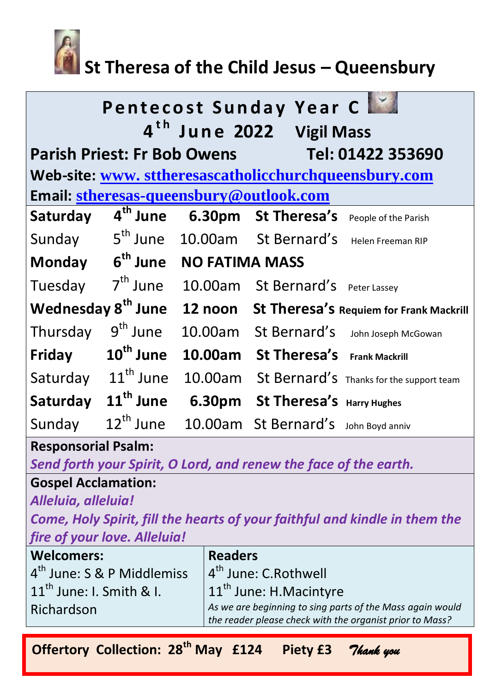

# **St Theresa of the Child Jesus – Queensbury**

| <b>Pentecost Sunday Year Class</b><br>4 <sup>th</sup> June 2022 Vigil Mass |                             |                                                 |                                      |                                          |  |
|----------------------------------------------------------------------------|-----------------------------|-------------------------------------------------|--------------------------------------|------------------------------------------|--|
| Parish Priest: Fr Bob Owens Tel: 01422 353690                              |                             |                                                 |                                      |                                          |  |
| Web-site: www.sttheresascatholicchurchqueensbury.com                       |                             |                                                 |                                      |                                          |  |
| Email: stheresas-queensbury@outlook.com                                    |                             |                                                 |                                      |                                          |  |
| Saturday                                                                   | 4 <sup>th</sup> June        |                                                 | 6.30pm St Theresa's                  | People of the Parish                     |  |
| Sunday                                                                     | 5 <sup>th</sup> June        |                                                 | 10.00am St Bernard's                 | Helen Freeman RIP                        |  |
|                                                                            | Monday 6 <sup>th</sup> June | <b>NO FATIMA MASS</b>                           |                                      |                                          |  |
| Tuesday                                                                    | 7 <sup>th</sup> June        |                                                 | 10.00am St Bernard's                 | Peter Lassey                             |  |
| Wednesday 8 <sup>th</sup> June                                             |                             | 12 noon St Theresa's Requiem for Frank Mackrill |                                      |                                          |  |
| Thursday                                                                   | $9th$ June                  |                                                 | 10.00am St Bernard's                 | John Joseph McGowan                      |  |
| Friday                                                                     | $10^{\text{th}}$ June       | 10.00am                                         | St Theresa's                         | <b>Frank Mackrill</b>                    |  |
| Saturday                                                                   | $11^{\text{th}}$ June       | 10.00am                                         |                                      | St Bernard's Thanks for the support team |  |
| Saturday                                                                   | 11 <sup>th</sup> June       |                                                 | 6.30pm St Theresa's Harry Hughes     |                                          |  |
| Sunday                                                                     | $12^{th}$ June              |                                                 | 10.00am St Bernard's John Boyd anniv |                                          |  |

#### **Responsorial Psalm:**

*Send forth your Spirit, O Lord, and renew the face of the earth.*

# **Gospel Acclamation:**

*Alleluia, alleluia!*

*Come, Holy Spirit, fill the hearts of your faithful and kindle in them the fire of your love. Alleluia!*

| <b>Welcomers:</b>            | <b>Readers</b>                                            |  |  |
|------------------------------|-----------------------------------------------------------|--|--|
| $4th$ June: S & P Middlemiss | 4 <sup>th</sup> June: C.Rothwell                          |  |  |
| $11th$ June: I. Smith & I.   | $ 11^{\text{th}}$ June: H.Macintyre                       |  |  |
| Richardson                   | As we are beginning to sing parts of the Mass again would |  |  |
|                              | the reader please check with the organist prior to Mass?  |  |  |

**Offertory Collection: 28th May £124 Piety £3** *Thank you*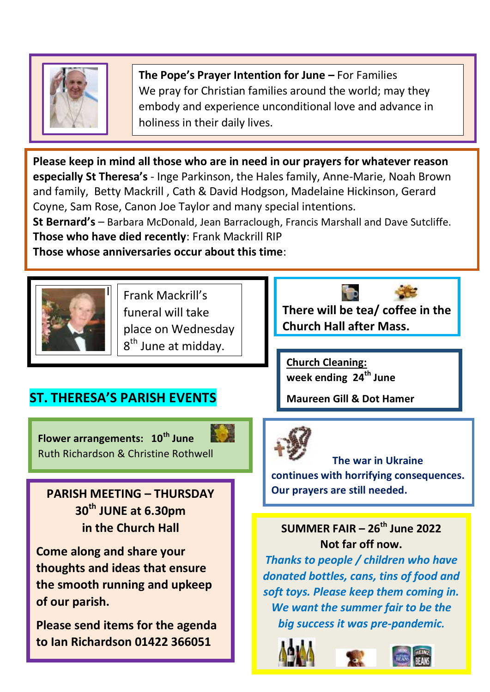

**The Pope's Prayer Intention for June –** For Families We pray for Christian families around the world; may they embody and experience unconditional love and advance in holiness in their daily lives.

**Please keep in mind all those who are in need in our prayers for whatever reason especially St Theresa's** - Inge Parkinson, the Hales family, Anne-Marie, Noah Brown and family, Betty Mackrill , Cath & David Hodgson, Madelaine Hickinson, Gerard Coyne, Sam Rose, Canon Joe Taylor and many special intentions.

**St Bernard's** – Barbara McDonald, Jean Barraclough, Francis Marshall and Dave Sutcliffe. **Those who have died recently**: Frank Mackrill RIP

**Those whose anniversaries occur about this time**:



 I Frank Mackrill's funeral will take place on Wednesday 8<sup>th</sup> June at midday.

**There will be tea/ coffee in the Church Hall after Mass.** 

**Church Cleaning: week ending 24th June**

**Maureen Gill & Dot Hamer**



 **The war in Ukraine continues with horrifying consequences. Our prayers are still needed.**

**SUMMER FAIR – 26th June 2022 Not far off now.**

*Thanks to people / children who have donated bottles, cans, tins of food and soft toys. Please keep them coming in. We want the summer fair to be the big success it was pre-pandemic.*







**PARISH MEETING – THURSDAY** 

Ruth Richardson & Christine Rothwell

**ST. THERESA'S PARISH EVENTS** 

**Flower arrangements: 10th June**

**30th JUNE at 6.30pm in the Church Hall**

**Come along and share your thoughts and ideas that ensure the smooth running and upkeep of our parish.** 

**Please send items for the agenda to Ian Richardson 01422 366051**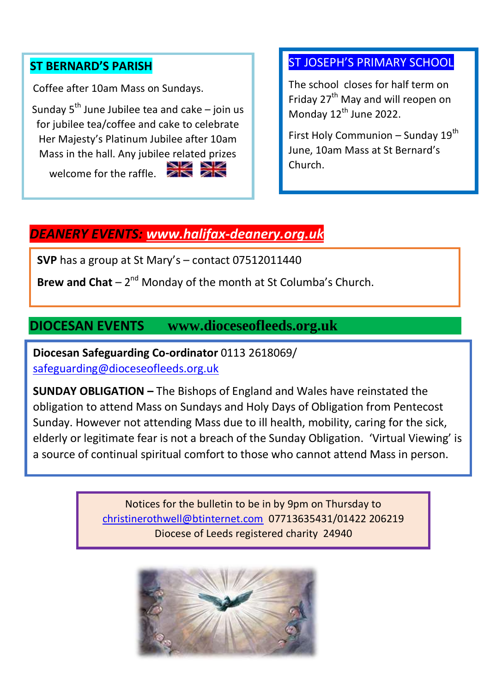#### **ST BERNARD'S PARISH**

Coffee after 10am Mass on Sundays.

Sunday  $5<sup>th</sup>$  June Jubilee tea and cake – join us for jubilee tea/coffee and cake to celebrate Her Majesty's Platinum Jubilee after 10am Mass in the hall. Any jubilee related prizes

welcome for the raffle.

#### ST JOSEPH'S PRIMARY SCHOOL

The school closes for half term on Friday 27<sup>th</sup> May and will reopen on Monday 12<sup>th</sup> June 2022.

First Holy Communion – Sunday  $19^{th}$ June, 10am Mass at St Bernard's Church.

## *DEANERY EVENTS: [www.halifax-deanery.org.uk](http://www.halifax-deanery.org.uk/)*

**SVP** has a group at St Mary's – contact 07512011440

Brew and Chat – 2<sup>nd</sup> Monday of the month at St Columba's Church.

### **DIOCESAN EVENTS www.dioceseofleeds.org.uk**

 **Diocesan Safeguarding Co-ordinator** 0113 2618069/ [safeguarding@dioceseofleeds.org.uk](mailto:safeguarding@dioceseofleeds.org.uk)

 obligation to attend Mass on Sundays and Holy Days of Obligation from Pentecost **SUNDAY OBLIGATION –** The Bishops of England and Wales have reinstated the Sunday. However not attending Mass due to ill health, mobility, caring for the sick, elderly or legitimate fear is not a breach of the Sunday Obligation. 'Virtual Viewing' is a source of continual spiritual comfort to those who cannot attend Mass in person.

l,

Notices for the bulletin to be in by 9pm on Thursday to [christinerothwell@btinternet.com](mailto:christinerothwell@btinternet.com) 07713635431/01422 206219 Diocese of Leeds registered charity 24940